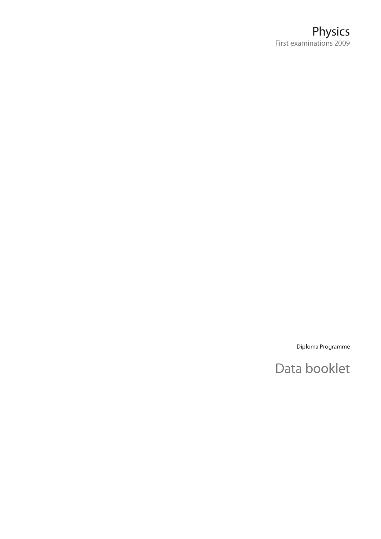Diploma Programme

# Data booklet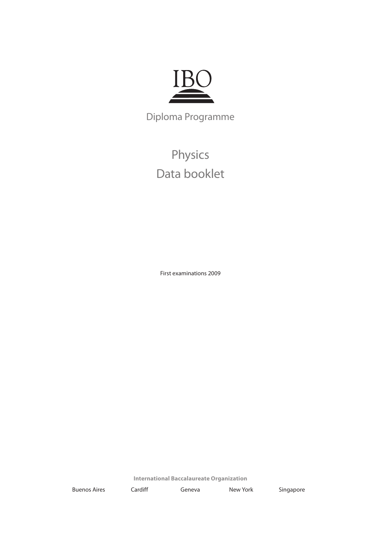

Diploma Programme

Physics Data booklet

First examinations 2009

**International Baccalaureate Organization**

Buenos Aires Cardiff Geneva New York Singapore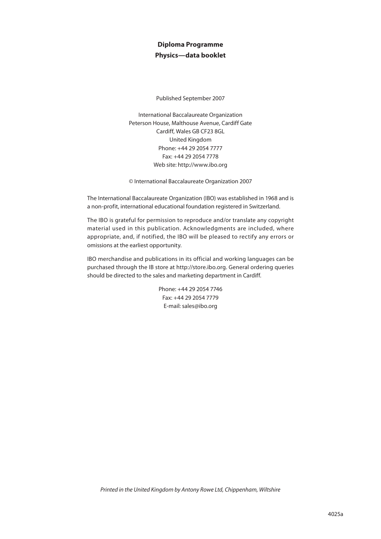# **Diploma Programme Physics—data booklet**

Published September 2007

International Baccalaureate Organization Peterson House, Malthouse Avenue, Cardiff Gate Cardiff, Wales GB CF23 8GL United Kingdom Phone: +44 29 2054 7777 Fax: +44 29 2054 7778 Web site: http://www.ibo.org

© International Baccalaureate Organization 2007

The International Baccalaureate Organization (IBO) was established in 1968 and is a non-profit, international educational foundation registered in Switzerland.

The IBO is grateful for permission to reproduce and/or translate any copyright material used in this publication. Acknowledgments are included, where appropriate, and, if notified, the IBO will be pleased to rectify any errors or omissions at the earliest opportunity.

IBO merchandise and publications in its official and working languages can be purchased through the IB store at http://store.ibo.org. General ordering queries should be directed to the sales and marketing department in Cardiff.

> Phone: +44 29 2054 7746 Fax: +44 29 2054 7779 E-mail: sales@ibo.org

*Printed in the United Kingdom by Antony Rowe Ltd, Chippenham, Wiltshire*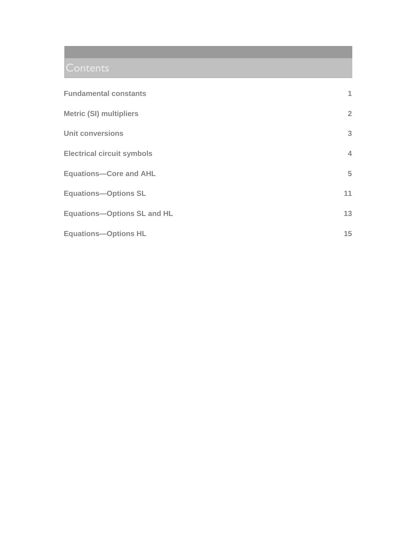| <b>Fundamental constants</b>       | 1              |
|------------------------------------|----------------|
| <b>Metric (SI) multipliers</b>     | $\overline{2}$ |
| <b>Unit conversions</b>            | 3              |
| <b>Electrical circuit symbols</b>  | 4              |
| <b>Equations-Core and AHL</b>      | 5              |
| <b>Equations-Options SL</b>        | 11             |
| <b>Equations-Options SL and HL</b> | 13             |
| <b>Equations-Options HL</b>        | 15             |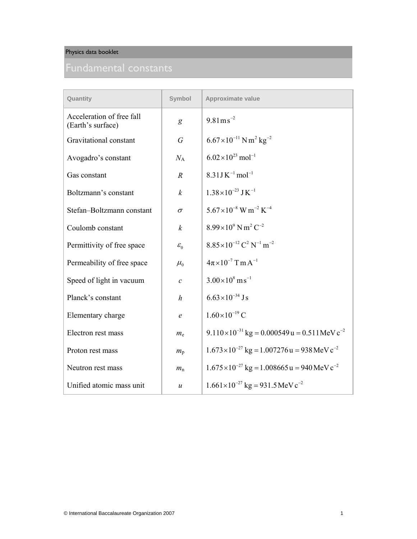| Quantity                                       | Symbol           | <b>Approximate value</b>                                              |
|------------------------------------------------|------------------|-----------------------------------------------------------------------|
| Acceleration of free fall<br>(Earth's surface) | g                | $9.81 \,\mathrm{m\,s}^{-2}$                                           |
| Gravitational constant                         | $\overline{G}$   | $6.67\times10^{-11}$ N m <sup>2</sup> kg <sup>-2</sup>                |
| Avogadro's constant                            | $N_A$            | $6.02\times10^{23}$ mol <sup>-1</sup>                                 |
| Gas constant                                   | $\boldsymbol{R}$ | $8.31$ J K <sup>-1</sup> mol <sup>-1</sup>                            |
| Boltzmann's constant                           | $\boldsymbol{k}$ | $1.38\times10^{-23}$ J K <sup>-1</sup>                                |
| Stefan-Boltzmann constant                      | $\sigma$         | $5.67\times10^{-8}$ W m <sup>-2</sup> K <sup>-4</sup>                 |
| Coulomb constant                               | $\boldsymbol{k}$ | $8.99\times10^{9}$ N m <sup>2</sup> C <sup>-2</sup>                   |
| Permittivity of free space                     | $\mathcal{E}_0$  | $8.85 \times 10^{-12}$ C <sup>2</sup> N <sup>-1</sup> m <sup>-2</sup> |
| Permeability of free space                     | $\mu_{0}$        | $4\pi \times 10^{-7}$ T m A <sup>-1</sup>                             |
| Speed of light in vacuum                       | $\mathcal{C}$    | $3.00\times10^{8}$ m s <sup>-1</sup>                                  |
| Planck's constant                              | $\boldsymbol{h}$ | $6.63\times10^{-34}$ Js                                               |
| Elementary charge                              | $\epsilon$       | $1.60\times10^{-19}$ C                                                |
| Electron rest mass                             | $m_{\rm e}$      | $9.110 \times 10^{-31}$ kg = 0.000549 u = 0.511 MeV c <sup>-2</sup>   |
| Proton rest mass                               | $m_{\rm p}$      | $1.673 \times 10^{-27}$ kg = 1.007276 u = 938 MeV c <sup>-2</sup>     |
| Neutron rest mass                              | $m_{\rm n}$      | $1.675 \times 10^{-27}$ kg = 1.008665 u = 940 MeV c <sup>-2</sup>     |
| Unified atomic mass unit                       | $\boldsymbol{u}$ | $1.661 \times 10^{-27}$ kg = 931.5 MeV c <sup>-2</sup>                |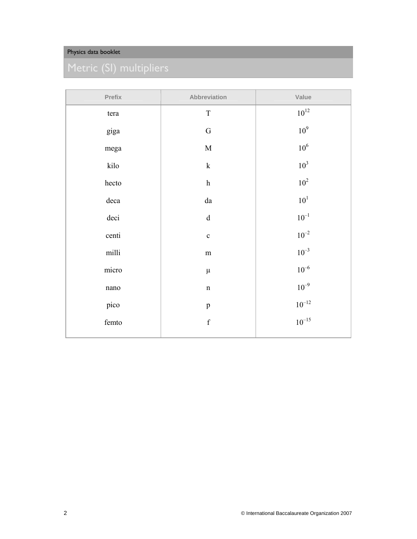| Prefix    | Abbreviation              | Value        |
|-----------|---------------------------|--------------|
| tera      | $\mathbf T$               | $10^{12}$    |
| giga      | ${\bf G}$                 | $10^9$       |
| mega      | $\mathbf M$               | $10^6$       |
| kilo      | $\mathbf k$               | $10^3$       |
| hecto     | $\boldsymbol{\textbf{h}}$ | $10^2$       |
| deca      | ${\rm d}a$                | $10^{\rm 1}$ |
| deci      | ${\bf d}$                 | $10^{-1}\,$  |
| centi     | $\mathbf c$               | $10^{-2}$    |
| milli     | ${\rm m}$                 | $10^{-3}$    |
| micro     | $\mu$                     | $10^{-6}$    |
| $\,$ nano | $\mathbf n$               | $10^{-9}$    |
| pico      | $\, {\bf p}$              | $10^{-12}$   |
| femto     | $\mathbf f$               | $10^{-15}$   |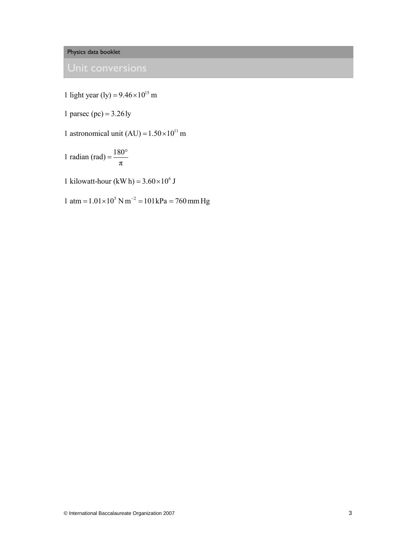1 light year (ly) =  $9.46 \times 10^{15}$  m

1 parsec (pc) =  $3.26 \text{ ly}$ 

1 astronomical unit (AU) =  $1.50 \times 10^{11}$  m

1 radian (rad) =  $\frac{180}{1}$ π  $=\frac{180^{\circ}}{2}$ 

1 kilowatt-hour (kW h) =  $3.60 \times 10^6$  J

1 atm =  $1.01 \times 10^5$  N m<sup>-2</sup> =  $101$  kPa = 760 mm Hg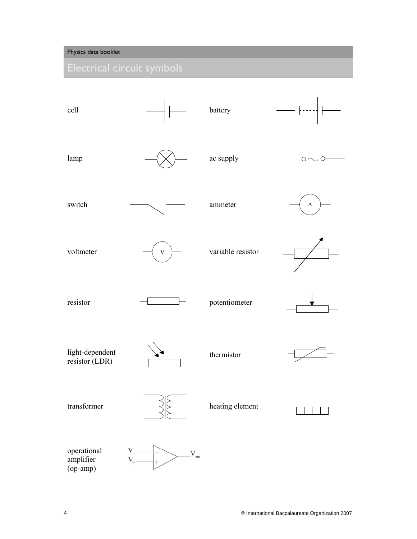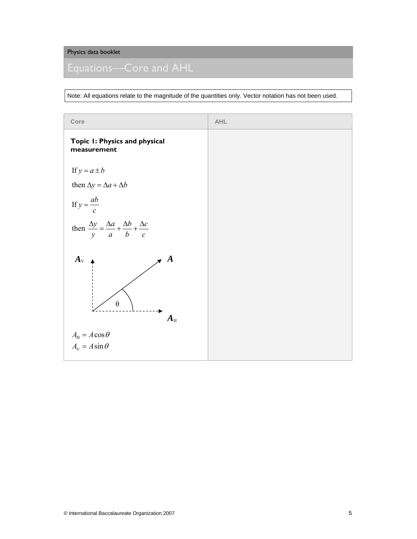Note: All equations relate to the magnitude of the quantities only. Vector notation has not been used.

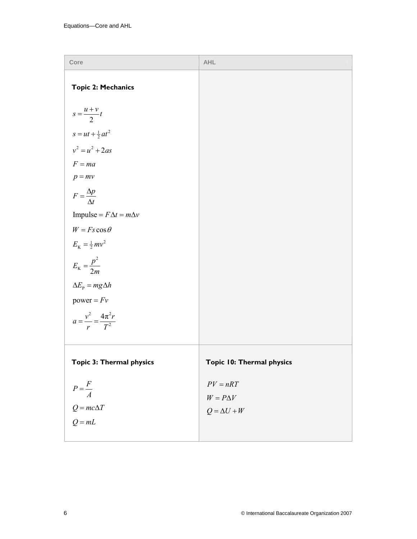| Core                                       | <b>AHL</b>                |
|--------------------------------------------|---------------------------|
| <b>Topic 2: Mechanics</b>                  |                           |
| $s = \frac{u+v}{2}t$                       |                           |
| $s = ut + \frac{1}{2}at^2$                 |                           |
| $v^2 = u^2 + 2as$                          |                           |
| $F = ma$                                   |                           |
| $p = mv$                                   |                           |
| $F = \frac{\Delta p}{\Delta t}$            |                           |
| Impulse = $F\Delta t = m\Delta v$          |                           |
| $W = Fs \cos \theta$                       |                           |
| $E_{K} = \frac{1}{2}mv^{2}$                |                           |
| $E_{\rm K}=\frac{p^2}{2m}$                 |                           |
| $\Delta E_{\rm p} = mg\Delta h$            |                           |
| power = $Fv$                               |                           |
| $a = \frac{v^2}{r} = \frac{4\pi^2 r}{T^2}$ |                           |
| Topic 3: Thermal physics                   | Topic 10: Thermal physics |
| $P = \frac{F}{A}$                          | $PV = nRT$                |
|                                            | $W = P \Delta V$          |
| $Q = mc\Delta T$                           | $Q = \Delta U + W$        |
| $Q = mL$                                   |                           |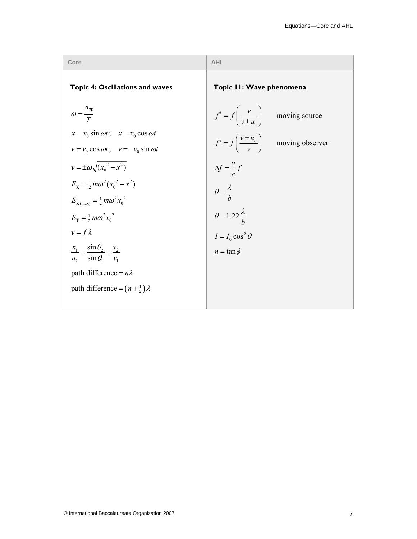| Core                                                                                                     | <b>AHL</b>                                                 |
|----------------------------------------------------------------------------------------------------------|------------------------------------------------------------|
| <b>Topic 4: Oscillations and waves</b>                                                                   | Topic II: Wave phenomena                                   |
| $\omega = \frac{2\pi}{T}$                                                                                | $f' = f\left(\frac{v}{v \pm u}\right)$ moving source       |
| $x = x_0 \sin \omega t$ ; $x = x_0 \cos \omega t$<br>$v = v_0 \cos \omega t$ ; $v = -v_0 \sin \omega t$  | $f' = f\left(\frac{v \pm u_0}{v}\right)$ moving observer   |
| $v = \pm \omega \sqrt{(x_0^2 - x^2)}$                                                                    | $\Delta f = \frac{v}{c} f$<br>$\theta = \frac{\lambda}{b}$ |
| $E_{\rm v} = \frac{1}{2} m \omega^2 (x_0^2 - x^2)$<br>$E_{\text{K(max)}} = \frac{1}{2} m \omega^2 x_0^2$ |                                                            |
| $E_{\rm T} = \frac{1}{2} m \omega^2 x_0^2$                                                               | $\theta = 1.22 \frac{\lambda}{h}$                          |
| $v = f \lambda$                                                                                          | $I = I_0 \cos^2 \theta$                                    |
| $\frac{n_1}{n_2} = \frac{\sin \theta_2}{\sin \theta_1} = \frac{v_2}{v_1}$                                | $n = \tan \phi$                                            |
| path difference = $n\lambda$                                                                             |                                                            |
| path difference = $(n+\frac{1}{2})\lambda$                                                               |                                                            |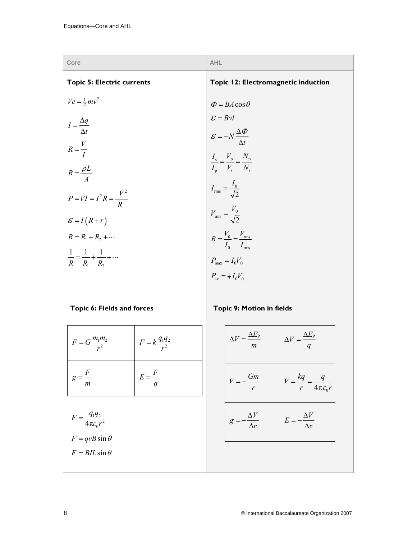| Core                                                   | <b>AHL</b>                                                                                |
|--------------------------------------------------------|-------------------------------------------------------------------------------------------|
| <b>Topic 5: Electric currents</b>                      | Topic 12: Electromagnetic induction                                                       |
| $Ve = \frac{1}{2}mv^2$                                 | $\Phi = BA \cos \theta$                                                                   |
| $I = \frac{\Delta q}{\Delta t}$                        | $\mathcal{E} = Bvl$                                                                       |
|                                                        | $\mathcal{E} = -N \frac{\Delta \Phi}{\Delta t}$                                           |
| $R = \frac{V}{I}$                                      |                                                                                           |
| $R = \frac{\rho L}{A}$                                 | $\frac{I_{\rm s}}{I_{\rm p}} = \frac{V_{\rm p}}{V_{\rm s}} = \frac{N_{\rm p}}{N_{\rm s}}$ |
| $P = VI = I^2 R = \frac{V^2}{R}$                       | $I_{\text{rms}} = \frac{I_0}{\sqrt{2}}$                                                   |
| $\mathcal{E} = I(R+r)$                                 | $V_{\text{rms}} = \frac{V_0}{\sqrt{2}}$                                                   |
| $R = R_1 + R_2 + \cdots$                               | $R = \frac{V_0}{I_0} = \frac{V_{\text{rms}}}{I_{\text{rms}}}$                             |
| $\frac{1}{R} = \frac{1}{R_1} + \frac{1}{R_2} + \cdots$ | $P_{\text{max}} = I_0 V_0$                                                                |
|                                                        | $P_{\text{av}} = \frac{1}{2} I_0 V_0$                                                     |

# **Topic 6: Fields and forces**

**Topic 9: Motion in fields** 

| $F = G \frac{m_1 m_2}{r^2}$                                         | $F = k \frac{q_1 q_2}{r^2}$ | Δ         |
|---------------------------------------------------------------------|-----------------------------|-----------|
| $g=\frac{1}{m}$                                                     | $E = \frac{F}{q}$           | $\bar{V}$ |
| $F = \frac{q_1 q_2}{4\pi \varepsilon_0 r^2}$<br>$F = qvB\sin\theta$ |                             | g         |
| $F = BIL \sin \theta$                                               |                             |           |

| $\Delta V = \frac{\Delta E_{\rm p}}{E}$<br>$\overline{m}$ | $\Delta V = \frac{\Delta E_{\rm p}}{q}$            |
|-----------------------------------------------------------|----------------------------------------------------|
| Gm<br>$V = -$<br>$\mathbf{r}$                             | $V = \frac{kq}{r} = \frac{q}{4\pi\varepsilon_0 r}$ |
| $-\frac{\Delta V}{\Delta r}$<br>$g = -$                   | $E = -\frac{\Delta V}{\Delta x}$                   |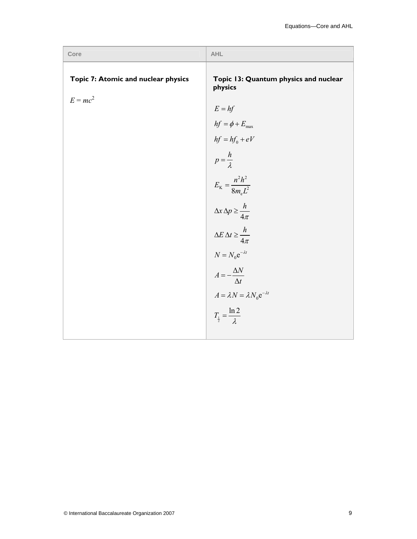| Core                                | <b>AHL</b>                                       |
|-------------------------------------|--------------------------------------------------|
| Topic 7: Atomic and nuclear physics | Topic 13: Quantum physics and nuclear<br>physics |
| $E = mc^2$                          | $E = hf$                                         |
|                                     | $hf=\phi+E_{\rm max}$                            |
|                                     | $hf = hf_0 + eV$                                 |
|                                     | $p = \frac{h}{\lambda}$                          |
|                                     | $E_{\rm K} = \frac{n^2 h^2}{8m_{\rm e}L^2}$      |
|                                     | $\Delta x \, \Delta p \geq \frac{h}{4\pi}$       |
|                                     | $\Delta E \,\Delta t \geq \frac{h}{4\pi}$        |
|                                     | $N = N_0 e^{-\lambda t}$                         |
|                                     | $A = -\frac{\Delta N}{\Delta t}$                 |
|                                     | $A = \lambda N = \lambda N_0 e^{-\lambda t}$     |
|                                     | $T_{\frac{1}{2}} = \frac{\ln 2}{\lambda}$        |
|                                     |                                                  |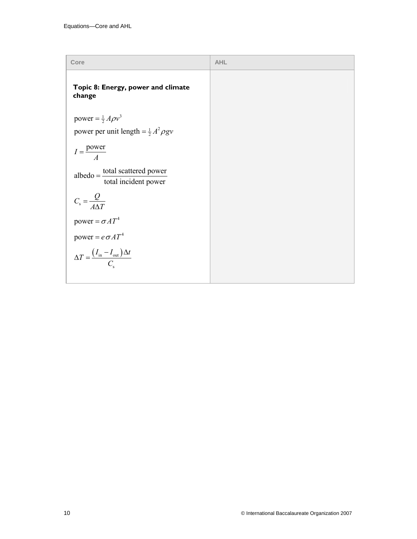| Core                                                             | <b>AHL</b> |
|------------------------------------------------------------------|------------|
| Topic 8: Energy, power and climate<br>change                     |            |
| power = $\frac{1}{2} A \rho v^3$                                 |            |
| power per unit length = $\frac{1}{2}A^2 \rho g v$                |            |
| $I = \frac{\text{power}}{4}$                                     |            |
| $albedo = \frac{total scattered power}{total incident power}$    |            |
| $C_{\rm s} = \frac{Q}{4\Delta T}$                                |            |
| power = $\sigma A T^4$                                           |            |
| power = $e \sigma A T^4$                                         |            |
| $\Delta T = \frac{(I_{\text{in}} - I_{\text{out}}) \Delta t}{C}$ |            |
|                                                                  |            |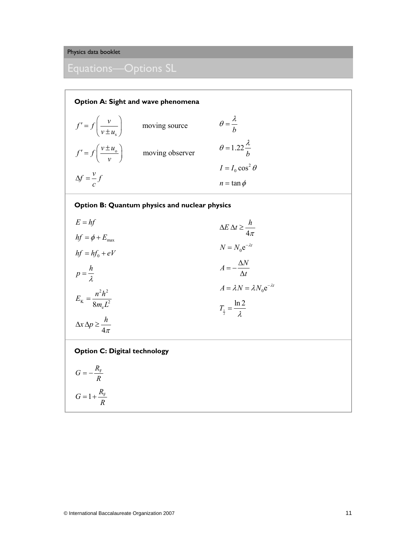**Option A: Sight and wave phenomena**

$$
f' = f\left(\frac{v}{v \pm u_s}\right) \qquad \text{moving source} \qquad \theta = \frac{\lambda}{b}
$$
  

$$
f' = f\left(\frac{v \pm u_o}{v}\right) \qquad \text{moving observer} \qquad \theta = 1.22 \frac{\lambda}{b}
$$
  

$$
\Delta f = \frac{v}{c} f \qquad \qquad I = I_0 \cos^2 \theta
$$
  

$$
n = \tan \phi
$$

## **Option B: Quantum physics and nuclear physics**

| $E = hf$                                         | $\Delta E \, \Delta t \geq \frac{h}{4\pi}$   |
|--------------------------------------------------|----------------------------------------------|
| $hf = \phi + E_{\text{max}}$<br>$hf = hf_0 + eV$ | $N = N_0 e^{-\lambda t}$                     |
| $p=\frac{h}{\lambda}$                            | $A=-\frac{\Delta N}{\Delta t}$               |
| $E_{\rm K} = \frac{n^2 h^2}{8m_{\rm e}L^2}$      | $A = \lambda N = \lambda N_0 e^{-\lambda t}$ |
|                                                  | $T_{\frac{1}{2}} = \frac{\ln 2}{\lambda}$    |
| $\Delta x \, \Delta p \geq \frac{h}{4\pi}$       |                                              |

### **Option C: Digital technology**

$$
G = -\frac{R_{\rm F}}{R}
$$

$$
G = 1 + \frac{R_{\rm F}}{R}
$$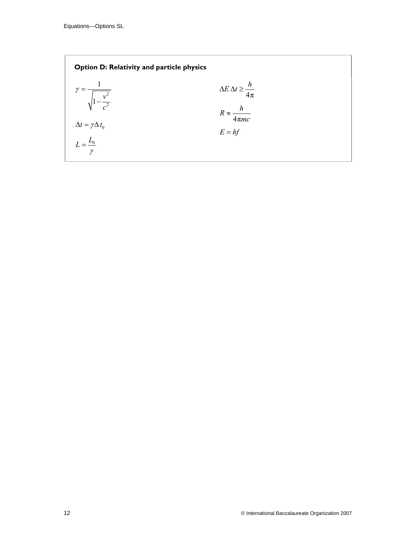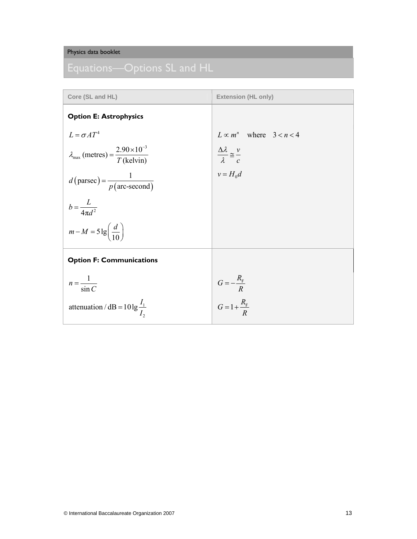| Core (SL and HL)                                                                   | <b>Extension (HL only)</b>                                          |
|------------------------------------------------------------------------------------|---------------------------------------------------------------------|
| <b>Option E: Astrophysics</b>                                                      |                                                                     |
| $L = \sigma A T^4$                                                                 | $L \propto m^n$ where $3 < n < 4$                                   |
| $\lambda_{\text{max}}$ (metres) = $\frac{2.90 \times 10^{-3}}{T \text{ (kelvin)}}$ | $\frac{\Delta \lambda}{\lambda} \approx \frac{v}{c}$<br>$v = H_0 d$ |
| $d(\text{parsec}) = \frac{1}{p(\text{arc-second})}$                                |                                                                     |
| $b = \frac{L}{4\pi d^2}$                                                           |                                                                     |
| $m-M = 5 \lg \left( \frac{d}{10} \right)$                                          |                                                                     |
| <b>Option F: Communications</b>                                                    |                                                                     |
| $n = \frac{1}{\sin C}$                                                             | $G = -\frac{R_{\rm F}}{R}$<br>$G = 1 + \frac{R_{\rm F}}{R}$         |
| attenuation / dB = $10 \lg \frac{I_1}{I}$                                          |                                                                     |
|                                                                                    |                                                                     |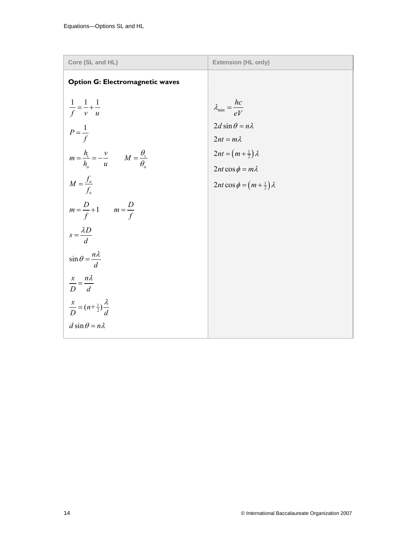| Core (SL and HL)                                                     | <b>Extension (HL only)</b>                 |
|----------------------------------------------------------------------|--------------------------------------------|
| <b>Option G: Electromagnetic waves</b>                               |                                            |
| $\frac{1}{f} = \frac{1}{v} + \frac{1}{u}$                            | $\lambda_{\min} = \frac{hc}{eV}$           |
| $P = \frac{1}{f}$                                                    | $2d \sin \theta = n\lambda$                |
|                                                                      | $2nt = m\lambda$                           |
| $m = \frac{h_i}{h_o} = -\frac{v}{u}$ $M = \frac{\theta_i}{\theta_o}$ | $2nt = (m + \frac{1}{2})\lambda$           |
|                                                                      | $2nt \cos \phi = m\lambda$                 |
| $M = \frac{f_{o}}{f_{e}}$                                            | $2nt \cos \phi = (m + \frac{1}{2})\lambda$ |
| $m = \frac{D}{f} + 1$ $m = \frac{D}{f}$                              |                                            |
| $s = \frac{\lambda D}{d}$                                            |                                            |
| $\sin \theta = \frac{n\lambda}{d}$                                   |                                            |
| $\frac{x}{D} = \frac{n\lambda}{d}$                                   |                                            |
| $\frac{x}{D} = (n + \frac{1}{2})\frac{\lambda}{d}$                   |                                            |
| $d \sin \theta = n\lambda$                                           |                                            |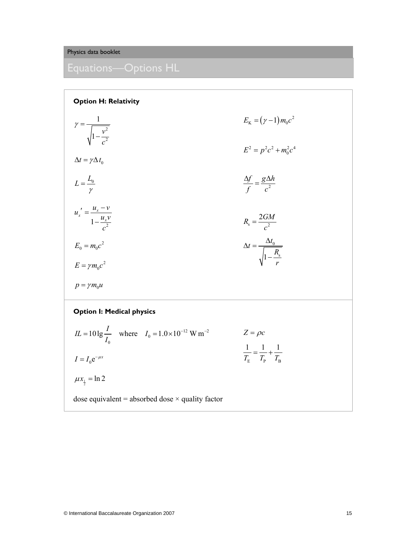| <b>Option H: Relativity</b>                                                  |                                                                   |  |
|------------------------------------------------------------------------------|-------------------------------------------------------------------|--|
| $\gamma = \frac{1}{\sqrt{1-\frac{v^2}{c^2}}}$                                | $E_{\rm K} = (\gamma - 1) m_0 c^2$                                |  |
| $\Delta t = \gamma \Delta t_{0}$                                             | $E^2 = p^2c^2 + m_0^2c^4$                                         |  |
| $L=\frac{L_0}{\gamma}$                                                       | $\frac{\Delta f}{f} = \frac{g \Delta h}{c^2}$                     |  |
| $u_x' = \frac{u_x - v}{1 - \frac{u_x v}{2}}$                                 | $R_{\rm s} = \frac{2GM}{c^2}$                                     |  |
| $E_0 = m_0 c^2$                                                              | $\Delta t = \frac{\Delta t_0}{\sqrt{1 - \frac{R_s}{a}}}$          |  |
| $E = \gamma m_0 c^2$<br>$p = \gamma m_0 u$                                   |                                                                   |  |
| <b>Option I: Medical physics</b>                                             |                                                                   |  |
| $IL = 10 \lg \frac{I}{I}$ where $I_0 = 1.0 \times 10^{-12} \text{ W m}^{-2}$ | $Z = \rho c$                                                      |  |
| $I = I_0 e^{-\mu x}$                                                         | $\frac{1}{T_{\rm E}} = \frac{1}{T_{\rm p}} + \frac{1}{T_{\rm R}}$ |  |
| $\mu x_1 = \ln 2$                                                            |                                                                   |  |
| dose equivalent = absorbed dose $\times$ quality factor                      |                                                                   |  |